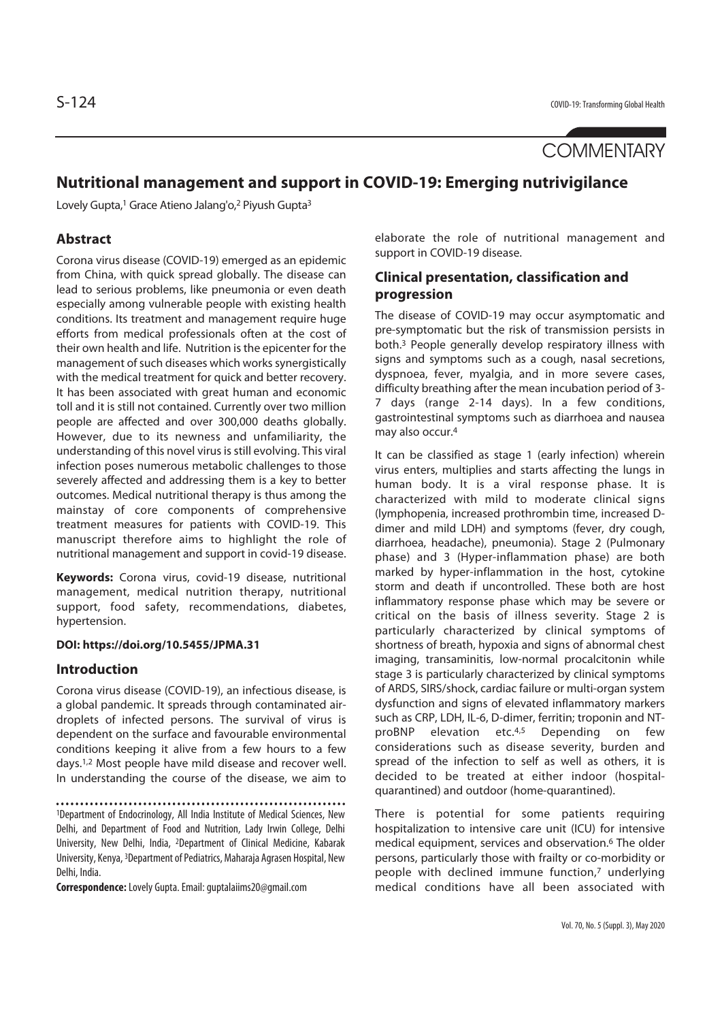**COMMENTARY** 

# **Nutritional management and support in COVID-19: Emerging nutrivigilance**

Lovely Gupta,<sup>1</sup> Grace Atieno Jalang'o,<sup>2</sup> Piyush Gupta<sup>3</sup>

## **Abstract**

Corona virus disease (COVID-19) emerged as an epidemic from China, with quick spread globally. The disease can lead to serious problems, like pneumonia or even death especially among vulnerable people with existing health conditions. Its treatment and management require huge efforts from medical professionals often at the cost of their own health and life. Nutrition is the epicenter for the management of such diseases which works synergistically with the medical treatment for quick and better recovery. It has been associated with great human and economic toll and it is still not contained. Currently over two million people are affected and over 300,000 deaths globally. However, due to its newness and unfamiliarity, the understanding of this novel virus is still evolving. This viral infection poses numerous metabolic challenges to those severely affected and addressing them is a key to better outcomes. Medical nutritional therapy is thus among the mainstay of core components of comprehensive treatment measures for patients with COVID-19. This manuscript therefore aims to highlight the role of nutritional management and support in covid-19 disease.

**Keywords:** Corona virus, covid-19 disease, nutritional management, medical nutrition therapy, nutritional support, food safety, recommendations, diabetes, hypertension.

### **DOI: https://doi.org/10.5455/JPMA.31**

### **Introduction**

Corona virus disease (COVID-19), an infectious disease, is a global pandemic. It spreads through contaminated airdroplets of infected persons. The survival of virus is dependent on the surface and favourable environmental conditions keeping it alive from a few hours to a few days.1,2 Most people have mild disease and recover well. In understanding the course of the disease, we aim to

1Department of Endocrinology, All India Institute of Medical Sciences, New Delhi, and Department of Food and Nutrition, Lady Irwin College, Delhi University, New Delhi, India, 2Department of Clinical Medicine, Kabarak University, Kenya, 3Department of Pediatrics, Maharaja Agrasen Hospital, New Delhi, India.

**Correspondence:** Lovely Gupta. Email: guptalaiims20@gmail.com

elaborate the role of nutritional management and support in COVID-19 disease.

## **Clinical presentation, classification and progression**

The disease of COVID-19 may occur asymptomatic and pre-symptomatic but the risk of transmission persists in both.3 People generally develop respiratory illness with signs and symptoms such as a cough, nasal secretions, dyspnoea, fever, myalgia, and in more severe cases, difficulty breathing after the mean incubation period of 3- 7 days (range 2-14 days). In a few conditions, gastrointestinal symptoms such as diarrhoea and nausea may also occur.4

It can be classified as stage 1 (early infection) wherein virus enters, multiplies and starts affecting the lungs in human body. It is a viral response phase. It is characterized with mild to moderate clinical signs (lymphopenia, increased prothrombin time, increased Ddimer and mild LDH) and symptoms (fever, dry cough, diarrhoea, headache), pneumonia). Stage 2 (Pulmonary phase) and 3 (Hyper-inflammation phase) are both marked by hyper-inflammation in the host, cytokine storm and death if uncontrolled. These both are host inflammatory response phase which may be severe or critical on the basis of illness severity. Stage 2 is particularly characterized by clinical symptoms of shortness of breath, hypoxia and signs of abnormal chest imaging, transaminitis, low-normal procalcitonin while stage 3 is particularly characterized by clinical symptoms of ARDS, SIRS/shock, cardiac failure or multi-organ system dysfunction and signs of elevated inflammatory markers such as CRP, LDH, IL-6, D-dimer, ferritin; troponin and NTproBNP elevation etc.4,5 Depending on few considerations such as disease severity, burden and spread of the infection to self as well as others, it is decided to be treated at either indoor (hospitalquarantined) and outdoor (home-quarantined).

There is potential for some patients requiring hospitalization to intensive care unit (ICU) for intensive medical equipment, services and observation.6 The older persons, particularly those with frailty or co-morbidity or people with declined immune function,7 underlying medical conditions have all been associated with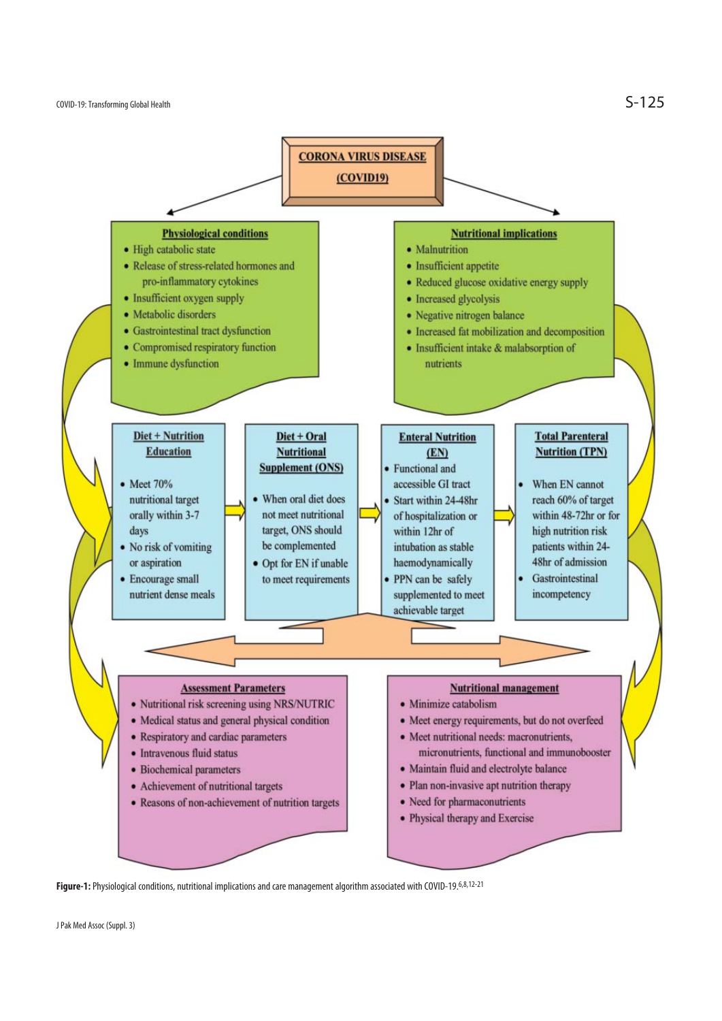

**Figure-1:** Physiological conditions, nutritional implications and care management algorithm associated with COVID-19.6,8,12-21

J Pak Med Assoc (Suppl. 3)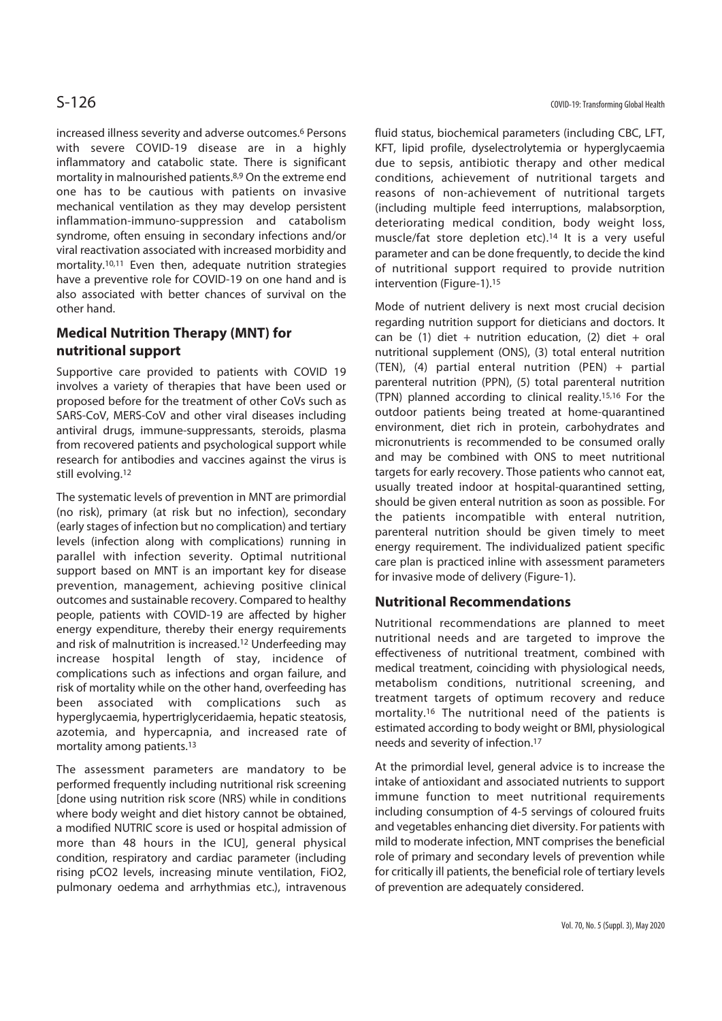increased illness severity and adverse outcomes.6 Persons with severe COVID-19 disease are in a highly inflammatory and catabolic state. There is significant mortality in malnourished patients.8,9 On the extreme end one has to be cautious with patients on invasive mechanical ventilation as they may develop persistent inflammation-immuno-suppression and catabolism syndrome, often ensuing in secondary infections and/or viral reactivation associated with increased morbidity and mortality.10,11 Even then, adequate nutrition strategies have a preventive role for COVID-19 on one hand and is also associated with better chances of survival on the other hand.

# **Medical Nutrition Therapy (MNT) for nutritional support**

Supportive care provided to patients with COVID 19 involves a variety of therapies that have been used or proposed before for the treatment of other CoVs such as SARS-CoV, MERS-CoV and other viral diseases including antiviral drugs, immune-suppressants, steroids, plasma from recovered patients and psychological support while research for antibodies and vaccines against the virus is still evolving.12

The systematic levels of prevention in MNT are primordial (no risk), primary (at risk but no infection), secondary (early stages of infection but no complication) and tertiary levels (infection along with complications) running in parallel with infection severity. Optimal nutritional support based on MNT is an important key for disease prevention, management, achieving positive clinical outcomes and sustainable recovery. Compared to healthy people, patients with COVID-19 are affected by higher energy expenditure, thereby their energy requirements and risk of malnutrition is increased.12 Underfeeding may increase hospital length of stay, incidence of complications such as infections and organ failure, and risk of mortality while on the other hand, overfeeding has been associated with complications such as hyperglycaemia, hypertriglyceridaemia, hepatic steatosis, azotemia, and hypercapnia, and increased rate of mortality among patients.13

The assessment parameters are mandatory to be performed frequently including nutritional risk screening [done using nutrition risk score (NRS) while in conditions where body weight and diet history cannot be obtained, a modified NUTRIC score is used or hospital admission of more than 48 hours in the ICU], general physical condition, respiratory and cardiac parameter (including rising pCO2 levels, increasing minute ventilation, FiO2, pulmonary oedema and arrhythmias etc.), intravenous fluid status, biochemical parameters (including CBC, LFT, KFT, lipid profile, dyselectrolytemia or hyperglycaemia due to sepsis, antibiotic therapy and other medical conditions, achievement of nutritional targets and reasons of non-achievement of nutritional targets (including multiple feed interruptions, malabsorption, deteriorating medical condition, body weight loss, muscle/fat store depletion etc).14 It is a very useful parameter and can be done frequently, to decide the kind of nutritional support required to provide nutrition intervention (Figure-1).15

Mode of nutrient delivery is next most crucial decision regarding nutrition support for dieticians and doctors. It can be (1) diet + nutrition education, (2) diet + oral nutritional supplement (ONS), (3) total enteral nutrition (TEN), (4) partial enteral nutrition (PEN) + partial parenteral nutrition (PPN), (5) total parenteral nutrition (TPN) planned according to clinical reality.15,16 For the outdoor patients being treated at home-quarantined environment, diet rich in protein, carbohydrates and micronutrients is recommended to be consumed orally and may be combined with ONS to meet nutritional targets for early recovery. Those patients who cannot eat, usually treated indoor at hospital-quarantined setting, should be given enteral nutrition as soon as possible. For the patients incompatible with enteral nutrition, parenteral nutrition should be given timely to meet energy requirement. The individualized patient specific care plan is practiced inline with assessment parameters for invasive mode of delivery (Figure-1).

### **Nutritional Recommendations**

Nutritional recommendations are planned to meet nutritional needs and are targeted to improve the effectiveness of nutritional treatment, combined with medical treatment, coinciding with physiological needs, metabolism conditions, nutritional screening, and treatment targets of optimum recovery and reduce mortality.16 The nutritional need of the patients is estimated according to body weight or BMI, physiological needs and severity of infection.17

At the primordial level, general advice is to increase the intake of antioxidant and associated nutrients to support immune function to meet nutritional requirements including consumption of 4-5 servings of coloured fruits and vegetables enhancing diet diversity. For patients with mild to moderate infection, MNT comprises the beneficial role of primary and secondary levels of prevention while for critically ill patients, the beneficial role of tertiary levels of prevention are adequately considered.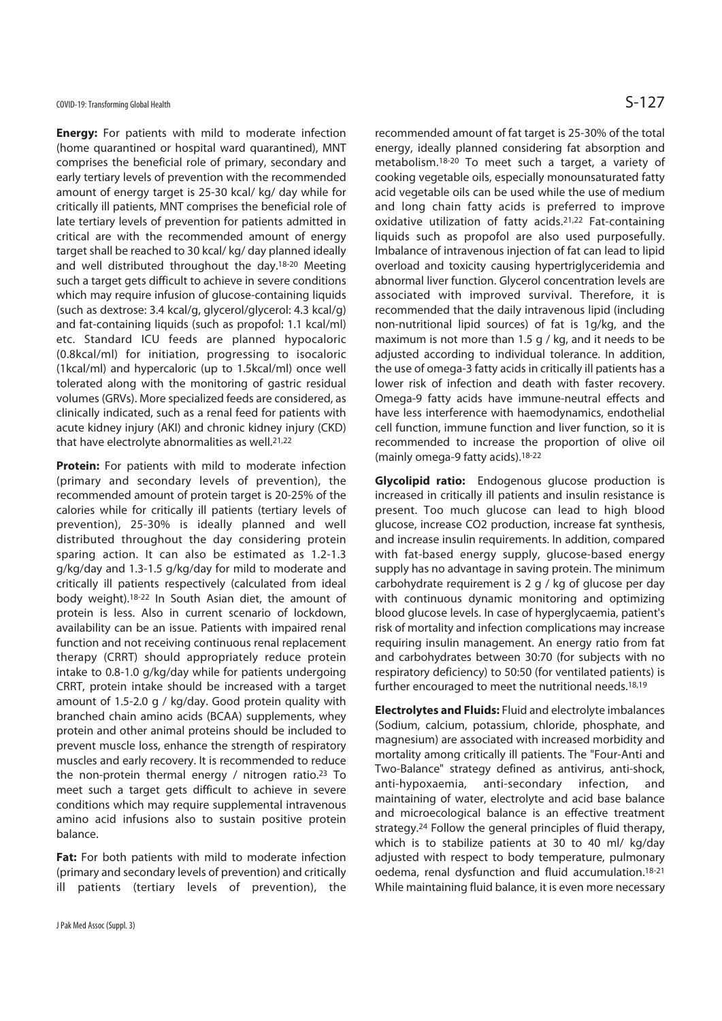**Energy:** For patients with mild to moderate infection (home quarantined or hospital ward quarantined), MNT comprises the beneficial role of primary, secondary and early tertiary levels of prevention with the recommended amount of energy target is 25-30 kcal/ kg/ day while for critically ill patients, MNT comprises the beneficial role of late tertiary levels of prevention for patients admitted in critical are with the recommended amount of energy target shall be reached to 30 kcal/ kg/ day planned ideally and well distributed throughout the day.18-20 Meeting such a target gets difficult to achieve in severe conditions which may require infusion of glucose-containing liquids (such as dextrose: 3.4 kcal/g, glycerol/glycerol: 4.3 kcal/g) and fat-containing liquids (such as propofol: 1.1 kcal/ml) etc. Standard ICU feeds are planned hypocaloric (0.8kcal/ml) for initiation, progressing to isocaloric (1kcal/ml) and hypercaloric (up to 1.5kcal/ml) once well tolerated along with the monitoring of gastric residual volumes (GRVs). More specialized feeds are considered, as clinically indicated, such as a renal feed for patients with acute kidney injury (AKI) and chronic kidney injury (CKD) that have electrolyte abnormalities as well.21,22

**Protein:** For patients with mild to moderate infection (primary and secondary levels of prevention), the recommended amount of protein target is 20-25% of the calories while for critically ill patients (tertiary levels of prevention), 25-30% is ideally planned and well distributed throughout the day considering protein sparing action. It can also be estimated as 1.2-1.3 g/kg/day and 1.3-1.5 g/kg/day for mild to moderate and critically ill patients respectively (calculated from ideal body weight).18-22 In South Asian diet, the amount of protein is less. Also in current scenario of lockdown, availability can be an issue. Patients with impaired renal function and not receiving continuous renal replacement therapy (CRRT) should appropriately reduce protein intake to 0.8-1.0 g/kg/day while for patients undergoing CRRT, protein intake should be increased with a target amount of 1.5-2.0 g / kg/day. Good protein quality with branched chain amino acids (BCAA) supplements, whey protein and other animal proteins should be included to prevent muscle loss, enhance the strength of respiratory muscles and early recovery. It is recommended to reduce the non-protein thermal energy / nitrogen ratio.23 To meet such a target gets difficult to achieve in severe conditions which may require supplemental intravenous amino acid infusions also to sustain positive protein balance.

Fat: For both patients with mild to moderate infection (primary and secondary levels of prevention) and critically ill patients (tertiary levels of prevention), the recommended amount of fat target is 25-30% of the total energy, ideally planned considering fat absorption and metabolism.18-20 To meet such a target, a variety of cooking vegetable oils, especially monounsaturated fatty acid vegetable oils can be used while the use of medium and long chain fatty acids is preferred to improve oxidative utilization of fatty acids.21,22 Fat-containing liquids such as propofol are also used purposefully. Imbalance of intravenous injection of fat can lead to lipid overload and toxicity causing hypertriglyceridemia and abnormal liver function. Glycerol concentration levels are associated with improved survival. Therefore, it is recommended that the daily intravenous lipid (including non-nutritional lipid sources) of fat is 1g/kg, and the maximum is not more than 1.5 g / kg, and it needs to be adjusted according to individual tolerance. In addition, the use of omega-3 fatty acids in critically ill patients has a lower risk of infection and death with faster recovery. Omega-9 fatty acids have immune-neutral effects and have less interference with haemodynamics, endothelial cell function, immune function and liver function, so it is recommended to increase the proportion of olive oil (mainly omega-9 fatty acids).18-22

**Glycolipid ratio:** Endogenous glucose production is increased in critically ill patients and insulin resistance is present. Too much glucose can lead to high blood glucose, increase CO2 production, increase fat synthesis, and increase insulin requirements. In addition, compared with fat-based energy supply, glucose-based energy supply has no advantage in saving protein. The minimum carbohydrate requirement is 2 g / kg of glucose per day with continuous dynamic monitoring and optimizing blood glucose levels. In case of hyperglycaemia, patient's risk of mortality and infection complications may increase requiring insulin management. An energy ratio from fat and carbohydrates between 30:70 (for subjects with no respiratory deficiency) to 50:50 (for ventilated patients) is further encouraged to meet the nutritional needs.18,19

**Electrolytes and Fluids:** Fluid and electrolyte imbalances (Sodium, calcium, potassium, chloride, phosphate, and magnesium) are associated with increased morbidity and mortality among critically ill patients. The "Four-Anti and Two-Balance" strategy defined as antivirus, anti-shock, anti-hypoxaemia, anti-secondary infection, and maintaining of water, electrolyte and acid base balance and microecological balance is an effective treatment strategy.24 Follow the general principles of fluid therapy, which is to stabilize patients at 30 to 40 ml/ kg/day adjusted with respect to body temperature, pulmonary oedema, renal dysfunction and fluid accumulation.18-21 While maintaining fluid balance, it is even more necessary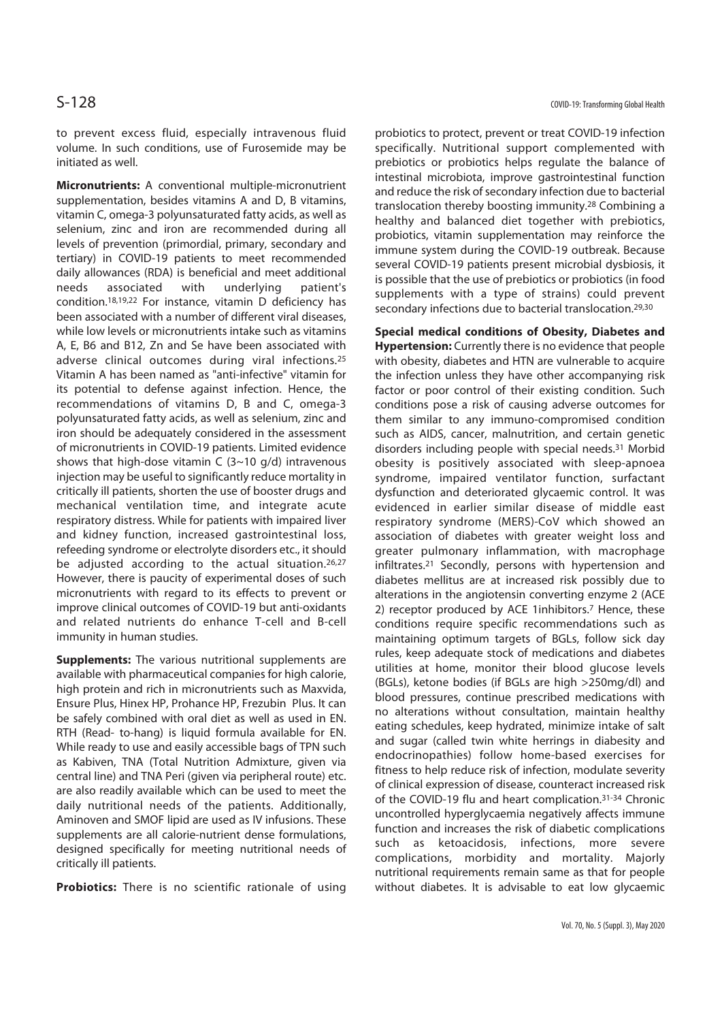to prevent excess fluid, especially intravenous fluid volume. In such conditions, use of Furosemide may be initiated as well.

**Micronutrients:** A conventional multiple-micronutrient supplementation, besides vitamins A and D, B vitamins, vitamin C, omega-3 polyunsaturated fatty acids, as well as selenium, zinc and iron are recommended during all levels of prevention (primordial, primary, secondary and tertiary) in COVID-19 patients to meet recommended daily allowances (RDA) is beneficial and meet additional needs associated with underlying patient's condition.18,19,22 For instance, vitamin D deficiency has been associated with a number of different viral diseases, while low levels or micronutrients intake such as vitamins A, E, B6 and B12, Zn and Se have been associated with adverse clinical outcomes during viral infections.25 Vitamin A has been named as "anti-infective" vitamin for its potential to defense against infection. Hence, the recommendations of vitamins D, B and C, omega-3 polyunsaturated fatty acids, as well as selenium, zinc and iron should be adequately considered in the assessment of micronutrients in COVID-19 patients. Limited evidence shows that high-dose vitamin C  $(3~10~q/d)$  intravenous injection may be useful to significantly reduce mortality in critically ill patients, shorten the use of booster drugs and mechanical ventilation time, and integrate acute respiratory distress. While for patients with impaired liver and kidney function, increased gastrointestinal loss, refeeding syndrome or electrolyte disorders etc., it should be adjusted according to the actual situation.26,27 However, there is paucity of experimental doses of such micronutrients with regard to its effects to prevent or improve clinical outcomes of COVID-19 but anti-oxidants and related nutrients do enhance T-cell and B-cell immunity in human studies.

**Supplements:** The various nutritional supplements are available with pharmaceutical companies for high calorie, high protein and rich in micronutrients such as Maxvida, Ensure Plus, Hinex HP, Prohance HP, Frezubin Plus. It can be safely combined with oral diet as well as used in EN. RTH (Read- to-hang) is liquid formula available for EN. While ready to use and easily accessible bags of TPN such as Kabiven, TNA (Total Nutrition Admixture, given via central line) and TNA Peri (given via peripheral route) etc. are also readily available which can be used to meet the daily nutritional needs of the patients. Additionally, Aminoven and SMOF lipid are used as IV infusions. These supplements are all calorie-nutrient dense formulations, designed specifically for meeting nutritional needs of critically ill patients.

**Probiotics:** There is no scientific rationale of using

probiotics to protect, prevent or treat COVID-19 infection specifically. Nutritional support complemented with prebiotics or probiotics helps regulate the balance of intestinal microbiota, improve gastrointestinal function and reduce the risk of secondary infection due to bacterial translocation thereby boosting immunity.28 Combining a healthy and balanced diet together with prebiotics, probiotics, vitamin supplementation may reinforce the immune system during the COVID-19 outbreak. Because several COVID-19 patients present microbial dysbiosis, it is possible that the use of prebiotics or probiotics (in food supplements with a type of strains) could prevent secondary infections due to bacterial translocation.<sup>29,30</sup>

**Special medical conditions of Obesity, Diabetes and Hypertension:** Currently there is no evidence that people with obesity, diabetes and HTN are vulnerable to acquire the infection unless they have other accompanying risk factor or poor control of their existing condition. Such conditions pose a risk of causing adverse outcomes for them similar to any immuno-compromised condition such as AIDS, cancer, malnutrition, and certain genetic disorders including people with special needs.31 Morbid obesity is positively associated with sleep-apnoea syndrome, impaired ventilator function, surfactant dysfunction and deteriorated glycaemic control. It was evidenced in earlier similar disease of middle east respiratory syndrome (MERS)-CoV which showed an association of diabetes with greater weight loss and greater pulmonary inflammation, with macrophage infiltrates.21 Secondly, persons with hypertension and diabetes mellitus are at increased risk possibly due to alterations in the angiotensin converting enzyme 2 (ACE 2) receptor produced by ACE 1inhibitors.<sup>7</sup> Hence, these conditions require specific recommendations such as maintaining optimum targets of BGLs, follow sick day rules, keep adequate stock of medications and diabetes utilities at home, monitor their blood glucose levels (BGLs), ketone bodies (if BGLs are high >250mg/dl) and blood pressures, continue prescribed medications with no alterations without consultation, maintain healthy eating schedules, keep hydrated, minimize intake of salt and sugar (called twin white herrings in diabesity and endocrinopathies) follow home-based exercises for fitness to help reduce risk of infection, modulate severity of clinical expression of disease, counteract increased risk of the COVID-19 flu and heart complication.31-34 Chronic uncontrolled hyperglycaemia negatively affects immune function and increases the risk of diabetic complications such as ketoacidosis, infections, more severe complications, morbidity and mortality. Majorly nutritional requirements remain same as that for people without diabetes. It is advisable to eat low glycaemic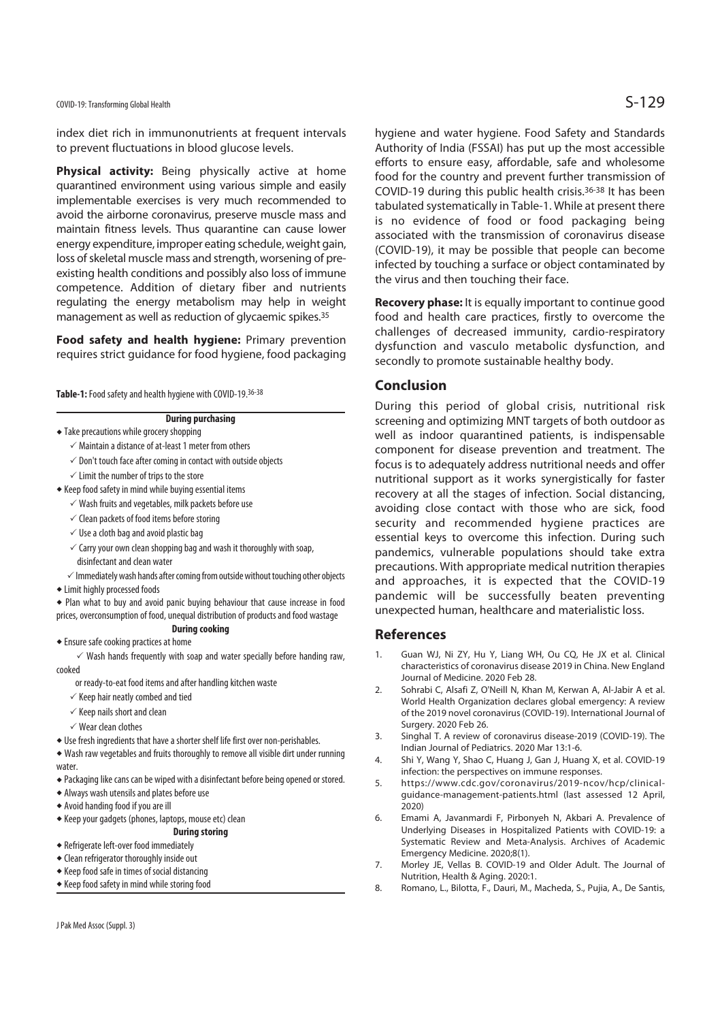COVID-19: Transforming Global Health  $\mathsf{S}\text{-}129$ 

index diet rich in immunonutrients at frequent intervals to prevent fluctuations in blood glucose levels.

**Physical activity:** Being physically active at home quarantined environment using various simple and easily implementable exercises is very much recommended to avoid the airborne coronavirus, preserve muscle mass and maintain fitness levels. Thus quarantine can cause lower energy expenditure, improper eating schedule, weight gain, loss of skeletal muscle mass and strength, worsening of preexisting health conditions and possibly also loss of immune competence. Addition of dietary fiber and nutrients regulating the energy metabolism may help in weight management as well as reduction of glycaemic spikes.35

**Food safety and health hygiene: Primary prevention** requires strict guidance for food hygiene, food packaging

**Table-1:** Food safety and health hygiene with COVID-19.36-38

### **During purchasing**

- $\triangleleft$  Take precautions while grocery shopping
	- $\checkmark$  Maintain a distance of at-least 1 meter from others
	- $\checkmark$  Don't touch face after coming in contact with outside objects
	- $\checkmark$  Limit the number of trips to the store
- $\bullet$  Keep food safety in mind while buying essential items
- $\checkmark$  Wash fruits and vegetables, milk packets before use
- $\checkmark$  Clean packets of food items before storing
- $\checkmark$  Use a cloth bag and avoid plastic bag
- $\checkmark$  Carry your own clean shopping bag and wash it thoroughly with soap, disinfectant and clean water
- $\checkmark$  Immediately wash hands after coming from outside without touching other objects
- $\triangleq$  Limit highly processed foods

• Plan what to buy and avoid panic buying behaviour that cause increase in food prices, overconsumption of food, unequal distribution of products and food wastage

### **During cooking**

 $\bullet$  Ensure safe cooking practices at home

 $\checkmark$  Wash hands frequently with soap and water specially before handing raw, cooked

- or ready-to-eat food items and after handling kitchen waste
- $\checkmark$  Keep hair neatly combed and tied
- $\checkmark$  Keep nails short and clean
- $\sqrt{W}$ ear clean clothes
- $\bullet$  Use fresh ingredients that have a shorter shelf life first over non-perishables.

 $\bullet$  Wash raw vegetables and fruits thoroughly to remove all visible dirt under running water.

- Packaging like cans can be wiped with a disinfectant before being opened or stored.
- $\triangle$  Always wash utensils and plates before use
- $\triangle$  Avoid handing food if you are ill
- $\bullet$  Keep your gadgets (phones, laptops, mouse etc) clean

### **During storing**

- $\triangle$  Refrigerate left-over food immediately
- $\triangleleft$  Clean refrigerator thoroughly inside out
- $\triangle$  Keep food safe in times of social distancing
- $\triangle$  Keep food safety in mind while storing food

hygiene and water hygiene. Food Safety and Standards Authority of India (FSSAI) has put up the most accessible efforts to ensure easy, affordable, safe and wholesome food for the country and prevent further transmission of COVID-19 during this public health crisis.36-38 It has been tabulated systematically in Table-1. While at present there is no evidence of food or food packaging being associated with the transmission of coronavirus disease (COVID-19), it may be possible that people can become infected by touching a surface or object contaminated by the virus and then touching their face.

**Recovery phase:** It is equally important to continue good food and health care practices, firstly to overcome the challenges of decreased immunity, cardio-respiratory dysfunction and vasculo metabolic dysfunction, and secondly to promote sustainable healthy body.

### **Conclusion**

During this period of global crisis, nutritional risk screening and optimizing MNT targets of both outdoor as well as indoor quarantined patients, is indispensable component for disease prevention and treatment. The focus is to adequately address nutritional needs and offer nutritional support as it works synergistically for faster recovery at all the stages of infection. Social distancing, avoiding close contact with those who are sick, food security and recommended hygiene practices are essential keys to overcome this infection. During such pandemics, vulnerable populations should take extra precautions. With appropriate medical nutrition therapies and approaches, it is expected that the COVID-19 pandemic will be successfully beaten preventing unexpected human, healthcare and materialistic loss.

### **References**

- 1. Guan WJ, Ni ZY, Hu Y, Liang WH, Ou CQ, He JX et al. Clinical characteristics of coronavirus disease 2019 in China. New England Journal of Medicine. 2020 Feb 28.
- 2. Sohrabi C, Alsafi Z, O'Neill N, Khan M, Kerwan A, Al-Jabir A et al. World Health Organization declares global emergency: A review of the 2019 novel coronavirus (COVID-19). International Journal of Surgery. 2020 Feb 26.
- 3. Singhal T. A review of coronavirus disease-2019 (COVID-19). The Indian Journal of Pediatrics. 2020 Mar 13:1-6.
- 4. Shi Y, Wang Y, Shao C, Huang J, Gan J, Huang X, et al. COVID-19 infection: the perspectives on immune responses.
- 5. https://www.cdc.gov/coronavirus/2019-ncov/hcp/clinicalguidance-management-patients.html (last assessed 12 April, 2020)
- 6. Emami A, Javanmardi F, Pirbonyeh N, Akbari A. Prevalence of Underlying Diseases in Hospitalized Patients with COVID-19: a Systematic Review and Meta-Analysis. Archives of Academic Emergency Medicine. 2020;8(1).
- 7. Morley JE, Vellas B. COVID-19 and Older Adult. The Journal of Nutrition, Health & Aging. 2020:1.
- 8. Romano, L., Bilotta, F., Dauri, M., Macheda, S., Pujia, A., De Santis,